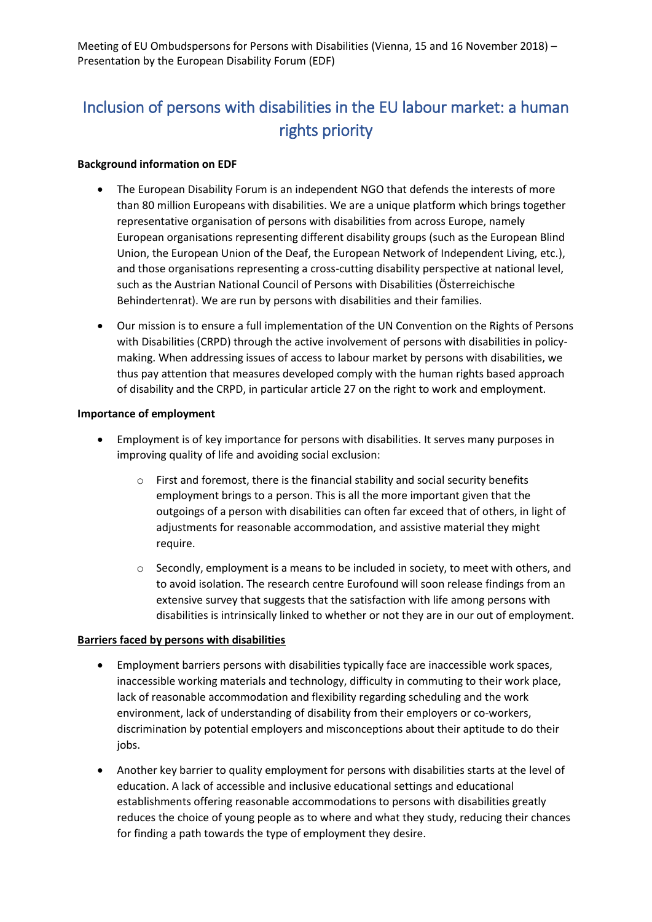# Inclusion of persons with disabilities in the EU labour market: a human rights priority

#### **Background information on EDF**

- The European Disability Forum is an independent NGO that defends the interests of more than 80 million Europeans with disabilities. We are a unique platform which brings together representative organisation of persons with disabilities from across Europe, namely European organisations representing different disability groups (such as the European Blind Union, the European Union of the Deaf, the European Network of Independent Living, etc.), and those organisations representing a cross-cutting disability perspective at national level, such as the Austrian National Council of Persons with Disabilities (Österreichische Behindertenrat). We are run by persons with disabilities and their families.
- Our mission is to ensure a full implementation of the UN Convention on the Rights of Persons with Disabilities (CRPD) through the active involvement of persons with disabilities in policymaking. When addressing issues of access to labour market by persons with disabilities, we thus pay attention that measures developed comply with the human rights based approach of disability and the CRPD, in particular article 27 on the right to work and employment.

#### **Importance of employment**

- Employment is of key importance for persons with disabilities. It serves many purposes in improving quality of life and avoiding social exclusion:
	- o First and foremost, there is the financial stability and social security benefits employment brings to a person. This is all the more important given that the outgoings of a person with disabilities can often far exceed that of others, in light of adjustments for reasonable accommodation, and assistive material they might require.
	- $\circ$  Secondly, employment is a means to be included in society, to meet with others, and to avoid isolation. The research centre Eurofound will soon release findings from an extensive survey that suggests that the satisfaction with life among persons with disabilities is intrinsically linked to whether or not they are in our out of employment.

## **Barriers faced by persons with disabilities**

- Employment barriers persons with disabilities typically face are inaccessible work spaces, inaccessible working materials and technology, difficulty in commuting to their work place, lack of reasonable accommodation and flexibility regarding scheduling and the work environment, lack of understanding of disability from their employers or co-workers, discrimination by potential employers and misconceptions about their aptitude to do their jobs.
- Another key barrier to quality employment for persons with disabilities starts at the level of education. A lack of accessible and inclusive educational settings and educational establishments offering reasonable accommodations to persons with disabilities greatly reduces the choice of young people as to where and what they study, reducing their chances for finding a path towards the type of employment they desire.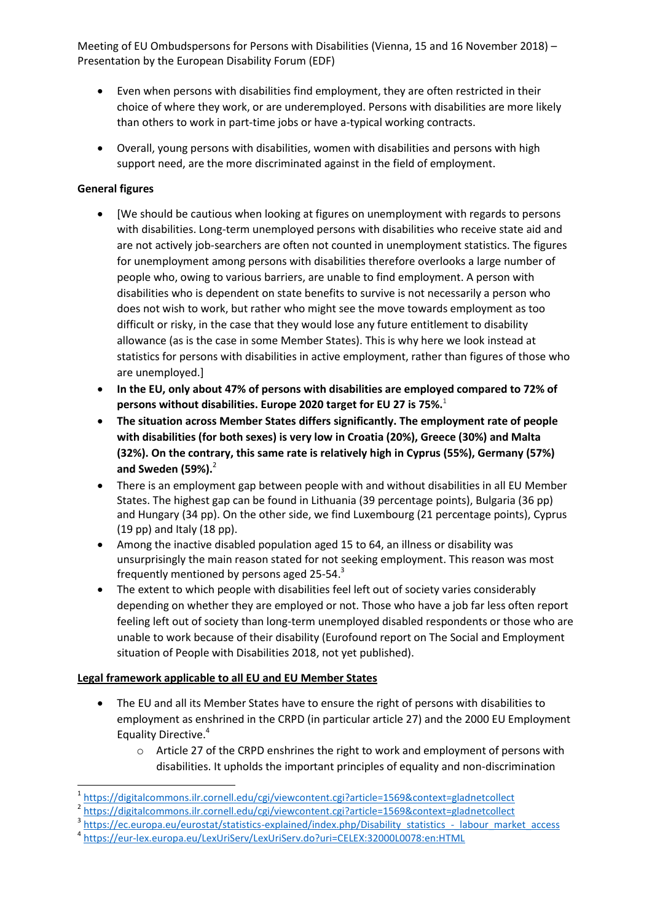Meeting of EU Ombudspersons for Persons with Disabilities (Vienna, 15 and 16 November 2018) – Presentation by the European Disability Forum (EDF)

- Even when persons with disabilities find employment, they are often restricted in their choice of where they work, or are underemployed. Persons with disabilities are more likely than others to work in part-time jobs or have a-typical working contracts.
- Overall, young persons with disabilities, women with disabilities and persons with high support need, are the more discriminated against in the field of employment.

## **General figures**

- [We should be cautious when looking at figures on unemployment with regards to persons with disabilities. Long-term unemployed persons with disabilities who receive state aid and are not actively job-searchers are often not counted in unemployment statistics. The figures for unemployment among persons with disabilities therefore overlooks a large number of people who, owing to various barriers, are unable to find employment. A person with disabilities who is dependent on state benefits to survive is not necessarily a person who does not wish to work, but rather who might see the move towards employment as too difficult or risky, in the case that they would lose any future entitlement to disability allowance (as is the case in some Member States). This is why here we look instead at statistics for persons with disabilities in active employment, rather than figures of those who are unemployed.]
- **In the EU, only about 47% of persons with disabilities are employed compared to 72% of persons without disabilities. Europe 2020 target for EU 27 is 75%.**<sup>1</sup>
- **The situation across Member States differs significantly. The employment rate of people with disabilities (for both sexes) is very low in Croatia (20%), Greece (30%) and Malta (32%). On the contrary, this same rate is relatively high in Cyprus (55%), Germany (57%) and Sweden (59%).**<sup>2</sup>
- There is an employment gap between people with and without disabilities in all EU Member States. The highest gap can be found in Lithuania (39 percentage points), Bulgaria (36 pp) and Hungary (34 pp). On the other side, we find Luxembourg (21 percentage points), Cyprus (19 pp) and Italy (18 pp).
- Among the inactive disabled population aged 15 to 64, an illness or disability was unsurprisingly the main reason stated for not seeking employment. This reason was most frequently mentioned by persons aged 25-54.<sup>3</sup>
- The extent to which people with disabilities feel left out of society varies considerably depending on whether they are employed or not. Those who have a job far less often report feeling left out of society than long-term unemployed disabled respondents or those who are unable to work because of their disability (Eurofound report on The Social and Employment situation of People with Disabilities 2018, not yet published).

## **Legal framework applicable to all EU and EU Member States**

- The EU and all its Member States have to ensure the right of persons with disabilities to employment as enshrined in the CRPD (in particular article 27) and the 2000 EU Employment Equality Directive.<sup>4</sup>
	- o Article 27 of the CRPD enshrines the right to work and employment of persons with disabilities. It upholds the important principles of equality and non-discrimination

<sup>3</sup> [https://ec.europa.eu/eurostat/statistics-explained/index.php/Disability\\_statistics\\_-\\_labour\\_market\\_access](https://ec.europa.eu/eurostat/statistics-explained/index.php/Disability_statistics_-_labour_market_access)

<sup>1</sup> 1 <https://digitalcommons.ilr.cornell.edu/cgi/viewcontent.cgi?article=1569&context=gladnetcollect>

<sup>&</sup>lt;sup>2</sup> <https://digitalcommons.ilr.cornell.edu/cgi/viewcontent.cgi?article=1569&context=gladnetcollect>

<sup>4</sup> <https://eur-lex.europa.eu/LexUriServ/LexUriServ.do?uri=CELEX:32000L0078:en:HTML>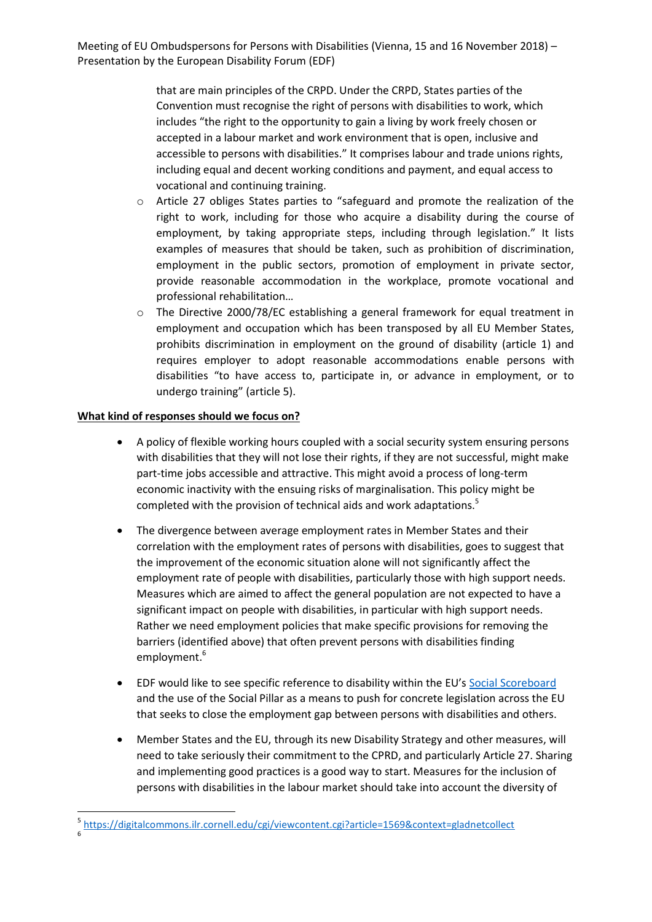that are main principles of the CRPD. Under the CRPD, States parties of the Convention must recognise the right of persons with disabilities to work, which includes "the right to the opportunity to gain a living by work freely chosen or accepted in a labour market and work environment that is open, inclusive and accessible to persons with disabilities." It comprises labour and trade unions rights, including equal and decent working conditions and payment, and equal access to vocational and continuing training.

- o Article 27 obliges States parties to "safeguard and promote the realization of the right to work, including for those who acquire a disability during the course of employment, by taking appropriate steps, including through legislation." It lists examples of measures that should be taken, such as prohibition of discrimination, employment in the public sectors, promotion of employment in private sector, provide reasonable accommodation in the workplace, promote vocational and professional rehabilitation…
- $\circ$  The Directive 2000/78/EC establishing a general framework for equal treatment in employment and occupation which has been transposed by all EU Member States, prohibits discrimination in employment on the ground of disability (article 1) and requires employer to adopt reasonable accommodations enable persons with disabilities "to have access to, participate in, or advance in employment, or to undergo training" (article 5).

## **What kind of responses should we focus on?**

1

- A policy of flexible working hours coupled with a social security system ensuring persons with disabilities that they will not lose their rights, if they are not successful, might make part-time jobs accessible and attractive. This might avoid a process of long-term economic inactivity with the ensuing risks of marginalisation. This policy might be completed with the provision of technical aids and work adaptations.<sup>5</sup>
- The divergence between average employment rates in Member States and their correlation with the employment rates of persons with disabilities, goes to suggest that the improvement of the economic situation alone will not significantly affect the employment rate of people with disabilities, particularly those with high support needs. Measures which are aimed to affect the general population are not expected to have a significant impact on people with disabilities, in particular with high support needs. Rather we need employment policies that make specific provisions for removing the barriers (identified above) that often prevent persons with disabilities finding employment. 6
- EDF would like to see specific reference to disability within the EU's [Social Scoreboard](https://composite-indicators.jrc.ec.europa.eu/social-scoreboard/) and the use of the Social Pillar as a means to push for concrete legislation across the EU that seeks to close the employment gap between persons with disabilities and others.
- Member States and the EU, through its new Disability Strategy and other measures, will need to take seriously their commitment to the CPRD, and particularly Article 27. Sharing and implementing good practices is a good way to start. Measures for the inclusion of persons with disabilities in the labour market should take into account the diversity of

<sup>5</sup> <https://digitalcommons.ilr.cornell.edu/cgi/viewcontent.cgi?article=1569&context=gladnetcollect> 6